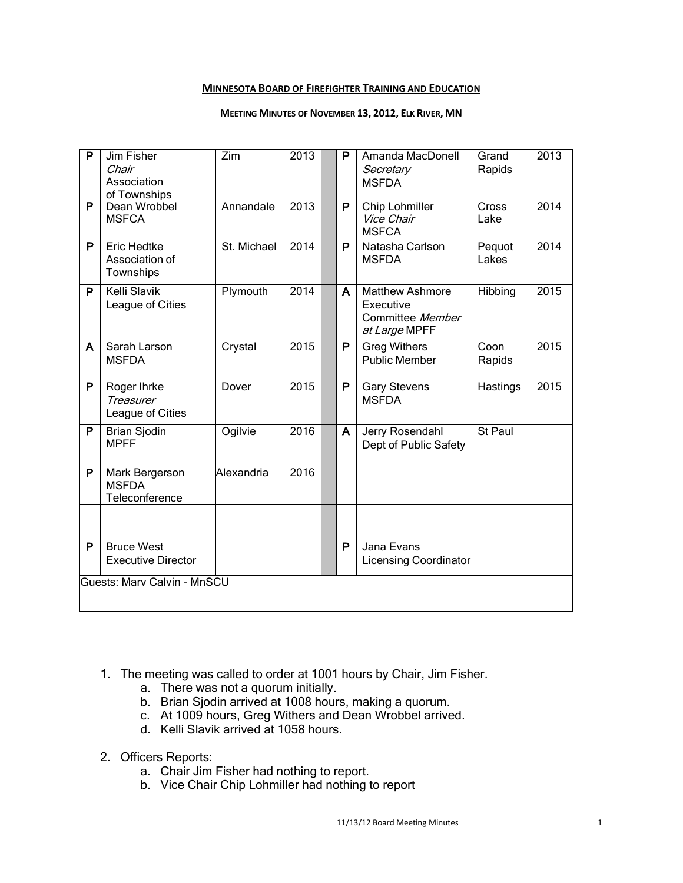### **MINNESOTA BOARD OF FIREFIGHTER TRAINING AND EDUCATION**

#### **MEETING MINUTES OF NOVEMBER 13, 2012, ELK RIVER, MN**

| P                           | Jim Fisher<br>Chair<br>Association<br>of Townships | Zim         | 2013              |  | P | Amanda MacDonell<br>Secretary<br><b>MSFDA</b>                            | Grand<br>Rapids | 2013 |
|-----------------------------|----------------------------------------------------|-------------|-------------------|--|---|--------------------------------------------------------------------------|-----------------|------|
| $\overline{P}$              | Dean Wrobbel<br><b>MSFCA</b>                       | Annandale   | 2013              |  | P | <b>Chip Lohmiller</b><br>Vice Chair<br><b>MSFCA</b>                      | Cross<br>Lake   | 2014 |
| P                           | <b>Eric Hedtke</b><br>Association of<br>Townships  | St. Michael | $201\overline{4}$ |  | P | Natasha Carlson<br><b>MSFDA</b>                                          | Pequot<br>Lakes | 2014 |
| P                           | <b>Kelli Slavik</b><br>League of Cities            | Plymouth    | 2014              |  | A | <b>Matthew Ashmore</b><br>Executive<br>Committee Member<br>at Large MPFF | Hibbing         | 2015 |
| A                           | Sarah Larson<br><b>MSFDA</b>                       | Crystal     | 2015              |  | P | <b>Greg Withers</b><br><b>Public Member</b>                              | Coon<br>Rapids  | 2015 |
| P                           | Roger Ihrke<br>Treasurer<br>League of Cities       | Dover       | 2015              |  | P | <b>Gary Stevens</b><br><b>MSFDA</b>                                      | Hastings        | 2015 |
| P                           | <b>Brian Sjodin</b><br><b>MPFF</b>                 | Ogilvie     | 2016              |  | A | Jerry Rosendahl<br>Dept of Public Safety                                 | St Paul         |      |
| P                           | Mark Bergerson<br><b>MSFDA</b><br>Teleconference   | Alexandria  | 2016              |  |   |                                                                          |                 |      |
|                             |                                                    |             |                   |  |   |                                                                          |                 |      |
| P                           | <b>Bruce West</b><br><b>Executive Director</b>     |             |                   |  | P | Jana Evans<br><b>Licensing Coordinator</b>                               |                 |      |
| Guests: Marv Calvin - MnSCU |                                                    |             |                   |  |   |                                                                          |                 |      |

- 1. The meeting was called to order at 1001 hours by Chair, Jim Fisher.
	- a. There was not a quorum initially.
	- b. Brian Sjodin arrived at 1008 hours, making a quorum.
	- c. At 1009 hours, Greg Withers and Dean Wrobbel arrived.
	- d. Kelli Slavik arrived at 1058 hours.
- 2. Officers Reports:
	- a. Chair Jim Fisher had nothing to report.
	- b. Vice Chair Chip Lohmiller had nothing to report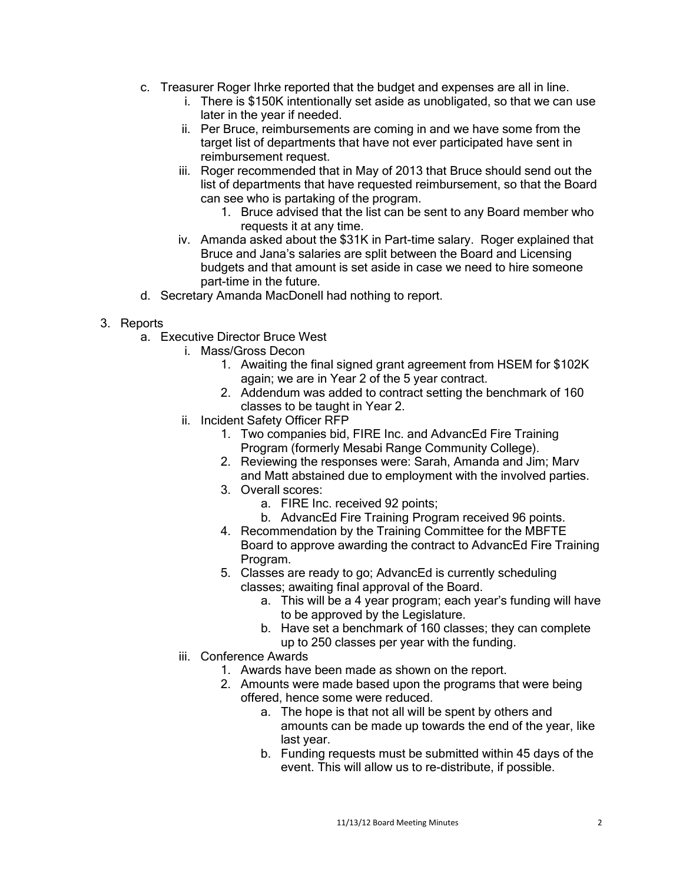- c. Treasurer Roger Ihrke reported that the budget and expenses are all in line.
	- i. There is \$150K intentionally set aside as unobligated, so that we can use later in the year if needed.
	- ii. Per Bruce, reimbursements are coming in and we have some from the target list of departments that have not ever participated have sent in reimbursement request.
	- iii. Roger recommended that in May of 2013 that Bruce should send out the list of departments that have requested reimbursement, so that the Board can see who is partaking of the program.
		- 1. Bruce advised that the list can be sent to any Board member who requests it at any time.
	- iv. Amanda asked about the \$31K in Part-time salary. Roger explained that Bruce and Jana's salaries are split between the Board and Licensing budgets and that amount is set aside in case we need to hire someone part-time in the future.
- d. Secretary Amanda MacDonell had nothing to report.

# 3. Reports

- a. Executive Director Bruce West
	- i. Mass/Gross Decon
		- 1. Awaiting the final signed grant agreement from HSEM for \$102K again; we are in Year 2 of the 5 year contract.
		- 2. Addendum was added to contract setting the benchmark of 160 classes to be taught in Year 2.
	- ii. Incident Safety Officer RFP
		- 1. Two companies bid, FIRE Inc. and AdvancEd Fire Training Program (formerly Mesabi Range Community College).
		- 2. Reviewing the responses were: Sarah, Amanda and Jim; Marv and Matt abstained due to employment with the involved parties.
		- 3. Overall scores:
			- a. FIRE Inc. received 92 points;
			- b. AdvancEd Fire Training Program received 96 points.
		- 4. Recommendation by the Training Committee for the MBFTE Board to approve awarding the contract to AdvancEd Fire Training Program.
		- 5. Classes are ready to go; AdvancEd is currently scheduling classes; awaiting final approval of the Board.
			- a. This will be a 4 year program; each year's funding will have to be approved by the Legislature.
			- b. Have set a benchmark of 160 classes; they can complete up to 250 classes per year with the funding.
	- iii. Conference Awards
		- 1. Awards have been made as shown on the report.
		- 2. Amounts were made based upon the programs that were being offered, hence some were reduced.
			- a. The hope is that not all will be spent by others and amounts can be made up towards the end of the year, like last year.
			- b. Funding requests must be submitted within 45 days of the event. This will allow us to re-distribute, if possible.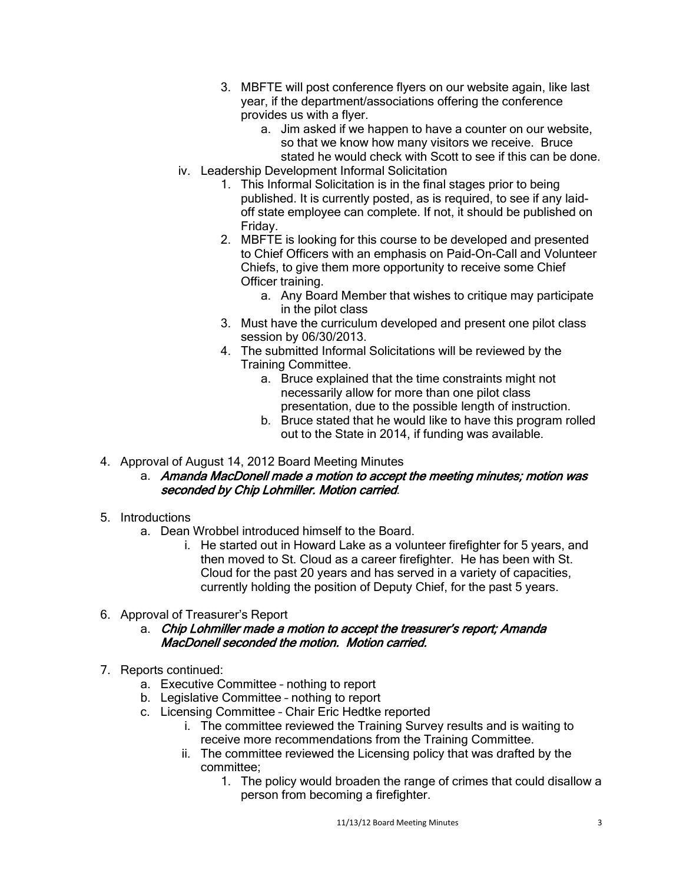- 3. MBFTE will post conference flyers on our website again, like last year, if the department/associations offering the conference provides us with a flyer.
	- a. Jim asked if we happen to have a counter on our website, so that we know how many visitors we receive. Bruce stated he would check with Scott to see if this can be done.
- iv. Leadership Development Informal Solicitation
	- 1. This Informal Solicitation is in the final stages prior to being published. It is currently posted, as is required, to see if any laidoff state employee can complete. If not, it should be published on Friday.
	- 2. MBFTE is looking for this course to be developed and presented to Chief Officers with an emphasis on Paid-On-Call and Volunteer Chiefs, to give them more opportunity to receive some Chief Officer training.
		- a. Any Board Member that wishes to critique may participate in the pilot class
	- 3. Must have the curriculum developed and present one pilot class session by 06/30/2013.
	- 4. The submitted Informal Solicitations will be reviewed by the Training Committee.
		- a. Bruce explained that the time constraints might not necessarily allow for more than one pilot class presentation, due to the possible length of instruction.
		- b. Bruce stated that he would like to have this program rolled out to the State in 2014, if funding was available.
- 4. Approval of August 14, 2012 Board Meeting Minutes
	- a. Amanda MacDonell made a motion to accept the meeting minutes; motion was seconded by Chip Lohmiller. Motion carried.
- 5. Introductions
	- a. Dean Wrobbel introduced himself to the Board.
		- i. He started out in Howard Lake as a volunteer firefighter for 5 years, and then moved to St. Cloud as a career firefighter. He has been with St. Cloud for the past 20 years and has served in a variety of capacities, currently holding the position of Deputy Chief, for the past 5 years.
- 6. Approval of Treasurer's Report
	- a. Chip Lohmiller made a motion to accept the treasurer's report; Amanda MacDonell seconded the motion. Motion carried.
- 7. Reports continued:
	- a. Executive Committee nothing to report
	- b. Legislative Committee nothing to report
	- c. Licensing Committee Chair Eric Hedtke reported
		- i. The committee reviewed the Training Survey results and is waiting to receive more recommendations from the Training Committee.
		- ii. The committee reviewed the Licensing policy that was drafted by the committee;
			- 1. The policy would broaden the range of crimes that could disallow a person from becoming a firefighter.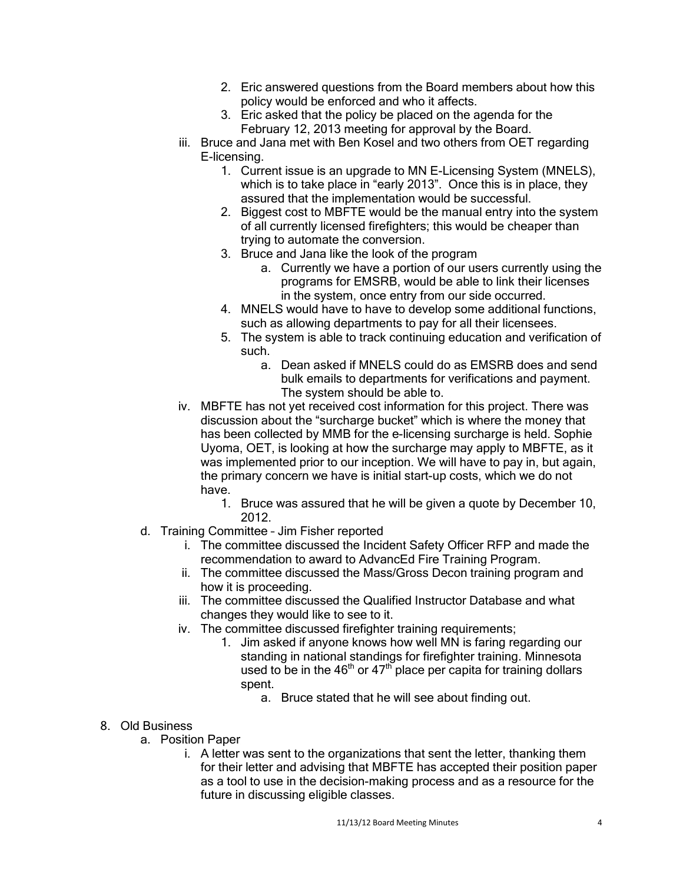- 2. Eric answered questions from the Board members about how this policy would be enforced and who it affects.
- 3. Eric asked that the policy be placed on the agenda for the February 12, 2013 meeting for approval by the Board.
- iii. Bruce and Jana met with Ben Kosel and two others from OET regarding E-licensing.
	- 1. Current issue is an upgrade to MN E-Licensing System (MNELS), which is to take place in "early 2013". Once this is in place, they assured that the implementation would be successful.
	- 2. Biggest cost to MBFTE would be the manual entry into the system of all currently licensed firefighters; this would be cheaper than trying to automate the conversion.
	- 3. Bruce and Jana like the look of the program
		- a. Currently we have a portion of our users currently using the programs for EMSRB, would be able to link their licenses in the system, once entry from our side occurred.
	- 4. MNELS would have to have to develop some additional functions, such as allowing departments to pay for all their licensees.
	- 5. The system is able to track continuing education and verification of such.
		- a. Dean asked if MNELS could do as EMSRB does and send bulk emails to departments for verifications and payment. The system should be able to.
- iv. MBFTE has not yet received cost information for this project. There was discussion about the "surcharge bucket" which is where the money that has been collected by MMB for the e-licensing surcharge is held. Sophie Uyoma, OET, is looking at how the surcharge may apply to MBFTE, as it was implemented prior to our inception. We will have to pay in, but again, the primary concern we have is initial start-up costs, which we do not have.
	- 1. Bruce was assured that he will be given a quote by December 10, 2012.
- d. Training Committee Jim Fisher reported
	- i. The committee discussed the Incident Safety Officer RFP and made the recommendation to award to AdvancEd Fire Training Program.
	- ii. The committee discussed the Mass/Gross Decon training program and how it is proceeding.
	- iii. The committee discussed the Qualified Instructor Database and what changes they would like to see to it.
	- iv. The committee discussed firefighter training requirements;
		- 1. Jim asked if anyone knows how well MN is faring regarding our standing in national standings for firefighter training. Minnesota used to be in the  $46<sup>th</sup>$  or  $47<sup>th</sup>$  place per capita for training dollars spent.
			- a. Bruce stated that he will see about finding out.
- 8. Old Business
	- a. Position Paper
		- i. A letter was sent to the organizations that sent the letter, thanking them for their letter and advising that MBFTE has accepted their position paper as a tool to use in the decision-making process and as a resource for the future in discussing eligible classes.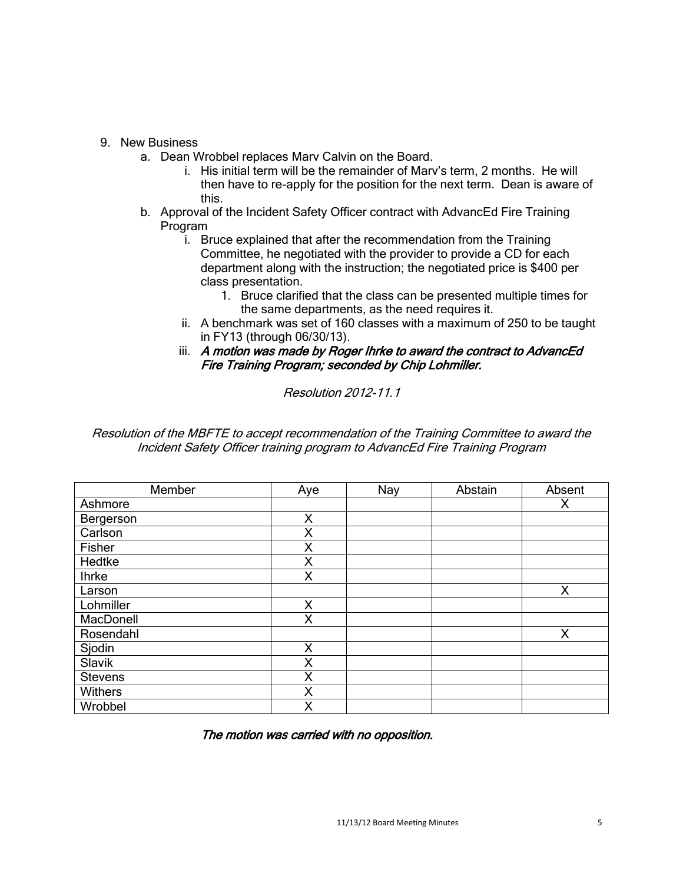## 9. New Business

- a. Dean Wrobbel replaces Marv Calvin on the Board.
	- i. His initial term will be the remainder of Marv's term, 2 months. He will then have to re-apply for the position for the next term. Dean is aware of this.
- b. Approval of the Incident Safety Officer contract with AdvancEd Fire Training Program
	- i. Bruce explained that after the recommendation from the Training Committee, he negotiated with the provider to provide a CD for each department along with the instruction; the negotiated price is \$400 per class presentation.
		- 1. Bruce clarified that the class can be presented multiple times for the same departments, as the need requires it.
	- ii. A benchmark was set of 160 classes with a maximum of 250 to be taught in FY13 (through 06/30/13).
	- iii. A motion was made by Roger Ihrke to award the contract to AdvancEd Fire Training Program; seconded by Chip Lohmiller.

Resolution 2012-11.1

Resolution of the MBFTE to accept recommendation of the Training Committee to award the Incident Safety Officer training program to AdvancEd Fire Training Program

| Member       | Aye | Nay | Abstain | Absent |
|--------------|-----|-----|---------|--------|
| Ashmore      |     |     |         | Χ      |
| Bergerson    | X   |     |         |        |
| Carlson      | X   |     |         |        |
| Fisher       | X   |     |         |        |
| Hedtke       | X   |     |         |        |
| <b>Ihrke</b> | X   |     |         |        |
| Larson       |     |     |         | Χ      |
| Lohmiller    | X   |     |         |        |
| MacDonell    | X   |     |         |        |
| Rosendahl    |     |     |         | Χ      |
| Sjodin       | X   |     |         |        |
| Slavik       | X   |     |         |        |
| Stevens      | Χ   |     |         |        |
| Withers      | X   |     |         |        |
| Wrobbel      | Χ   |     |         |        |

The motion was carried with no opposition.